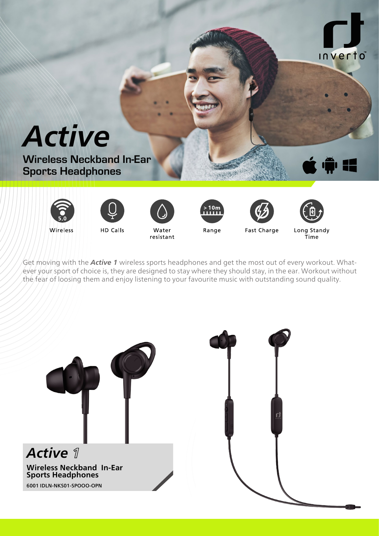













Wireless

Water resistant



Fast Charge

Long Standy Time.

Get moving with the **Active 1** wireless sports headphones and get the most out of every workout. Whatever your sport of choice is, they are designed to stay where they should stay, in the ear. Workout without the fear of loosing them and enjoy listening to your favourite music with outstanding sound quality.